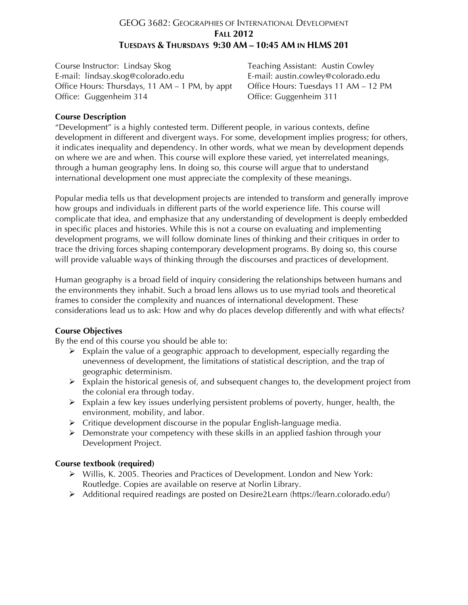## GEOG 3682: GEOGRAPHIES OF INTERNATIONAL DEVELOPMENT **FALL 2012 TUESDAYS & THURSDAYS 9:30 AM – 10:45 AM IN HLMS 201**

Course Instructor: Lindsay Skog Teaching Assistant: Austin Cowley E-mail: lindsay.skog@colorado.edu E-mail: austin.cowley@colorado.edu Office Hours: Thursdays, 11 AM – 1 PM, by appt Office Hours: Tuesdays 11 AM – 12 PM Office: Guggenheim 314 Office: Guggenheim 311

### **Course Description**

"Development" is a highly contested term. Different people, in various contexts, define development in different and divergent ways. For some, development implies progress; for others, it indicates inequality and dependency. In other words, what we mean by development depends on where we are and when. This course will explore these varied, yet interrelated meanings, through a human geography lens. In doing so, this course will argue that to understand international development one must appreciate the complexity of these meanings.

Popular media tells us that development projects are intended to transform and generally improve how groups and individuals in different parts of the world experience life. This course will complicate that idea, and emphasize that any understanding of development is deeply embedded in specific places and histories. While this is not a course on evaluating and implementing development programs, we will follow dominate lines of thinking and their critiques in order to trace the driving forces shaping contemporary development programs. By doing so, this course will provide valuable ways of thinking through the discourses and practices of development.

Human geography is a broad field of inquiry considering the relationships between humans and the environments they inhabit. Such a broad lens allows us to use myriad tools and theoretical frames to consider the complexity and nuances of international development. These considerations lead us to ask: How and why do places develop differently and with what effects?

## **Course Objectives**

By the end of this course you should be able to:

- $\triangleright$  Explain the value of a geographic approach to development, especially regarding the unevenness of development, the limitations of statistical description, and the trap of geographic determinism.
- $\triangleright$  Explain the historical genesis of, and subsequent changes to, the development project from the colonial era through today.
- $\triangleright$  Explain a few key issues underlying persistent problems of poverty, hunger, health, the environment, mobility, and labor.
- $\triangleright$  Critique development discourse in the popular English-language media.
- $\triangleright$  Demonstrate your competency with these skills in an applied fashion through your Development Project.

## **Course textbook (required)**

- Willis, K. 2005. Theories and Practices of Development. London and New York: Routledge. Copies are available on reserve at Norlin Library.
- Additional required readings are posted on Desire2Learn (https://learn.colorado.edu/)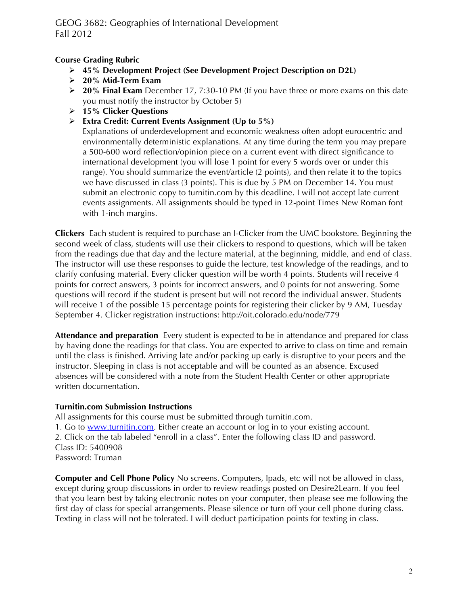## **Course Grading Rubric**

- **45% Development Project (See Development Project Description on D2L)**
- **20% Mid-Term Exam**
- **20% Final Exam** December 17, 7:30-10 PM (If you have three or more exams on this date you must notify the instructor by October 5)
- **15% Clicker Questions**
- **Extra Credit: Current Events Assignment (Up to 5%)**

Explanations of underdevelopment and economic weakness often adopt eurocentric and environmentally deterministic explanations. At any time during the term you may prepare a 500-600 word reflection/opinion piece on a current event with direct significance to international development (you will lose 1 point for every 5 words over or under this range). You should summarize the event/article (2 points), and then relate it to the topics we have discussed in class (3 points). This is due by 5 PM on December 14. You must submit an electronic copy to turnitin.com by this deadline. I will not accept late current events assignments. All assignments should be typed in 12-point Times New Roman font with 1-inch margins.

**Clickers** Each student is required to purchase an I-Clicker from the UMC bookstore. Beginning the second week of class, students will use their clickers to respond to questions, which will be taken from the readings due that day and the lecture material, at the beginning, middle, and end of class. The instructor will use these responses to guide the lecture, test knowledge of the readings, and to clarify confusing material. Every clicker question will be worth 4 points. Students will receive 4 points for correct answers, 3 points for incorrect answers, and 0 points for not answering. Some questions will record if the student is present but will not record the individual answer. Students will receive 1 of the possible 15 percentage points for registering their clicker by 9 AM, Tuesday September 4. Clicker registration instructions: http://oit.colorado.edu/node/779

**Attendance and preparation** Every student is expected to be in attendance and prepared for class by having done the readings for that class. You are expected to arrive to class on time and remain until the class is finished. Arriving late and/or packing up early is disruptive to your peers and the instructor. Sleeping in class is not acceptable and will be counted as an absence. Excused absences will be considered with a note from the Student Health Center or other appropriate written documentation.

## **Turnitin.com Submission Instructions**

All assignments for this course must be submitted through turnitin.com. 1. Go to www.turnitin.com. Either create an account or log in to your existing account. 2. Click on the tab labeled "enroll in a class". Enter the following class ID and password. Class ID: 5400908 Password: Truman

**Computer and Cell Phone Policy** No screens. Computers, Ipads, etc will not be allowed in class, except during group discussions in order to review readings posted on Desire2Learn. If you feel that you learn best by taking electronic notes on your computer, then please see me following the first day of class for special arrangements. Please silence or turn off your cell phone during class. Texting in class will not be tolerated. I will deduct participation points for texting in class.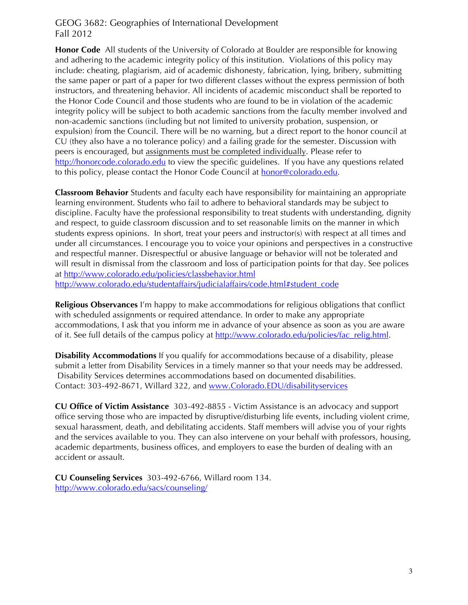**Honor Code** All students of the University of Colorado at Boulder are responsible for knowing and adhering to the academic integrity policy of this institution. Violations of this policy may include: cheating, plagiarism, aid of academic dishonesty, fabrication, lying, bribery, submitting the same paper or part of a paper for two different classes without the express permission of both instructors, and threatening behavior. All incidents of academic misconduct shall be reported to the Honor Code Council and those students who are found to be in violation of the academic integrity policy will be subject to both academic sanctions from the faculty member involved and non-academic sanctions (including but not limited to university probation, suspension, or expulsion) from the Council. There will be no warning, but a direct report to the honor council at CU (they also have a no tolerance policy) and a failing grade for the semester. Discussion with peers is encouraged, but assignments must be completed individually. Please refer to http://honorcode.colorado.edu to view the specific guidelines. If you have any questions related to this policy, please contact the Honor Code Council at **honor@colorado.edu**.

**Classroom Behavior** Students and faculty each have responsibility for maintaining an appropriate learning environment. Students who fail to adhere to behavioral standards may be subject to discipline. Faculty have the professional responsibility to treat students with understanding, dignity and respect, to guide classroom discussion and to set reasonable limits on the manner in which students express opinions. In short, treat your peers and instructor(s) with respect at all times and under all circumstances. I encourage you to voice your opinions and perspectives in a constructive and respectful manner. Disrespectful or abusive language or behavior will not be tolerated and will result in dismissal from the classroom and loss of participation points for that day. See polices at http://www.colorado.edu/policies/classbehavior.html http://www.colorado.edu/studentaffairs/judicialaffairs/code.html#student\_code

**Religious Observances** I'm happy to make accommodations for religious obligations that conflict with scheduled assignments or required attendance. In order to make any appropriate accommodations, I ask that you inform me in advance of your absence as soon as you are aware of it. See full details of the campus policy at http://www.colorado.edu/policies/fac\_relig.html.

**Disability Accommodations** If you qualify for accommodations because of a disability, please submit a letter from Disability Services in a timely manner so that your needs may be addressed. Disability Services determines accommodations based on documented disabilities. Contact: 303-492-8671, Willard 322, and www.Colorado.EDU/disabilityservices

**CU Office of Victim Assistance** 303-492-8855 - Victim Assistance is an advocacy and support office serving those who are impacted by disruptive/disturbing life events, including violent crime, sexual harassment, death, and debilitating accidents. Staff members will advise you of your rights and the services available to you. They can also intervene on your behalf with professors, housing, academic departments, business offices, and employers to ease the burden of dealing with an accident or assault.

**CU Counseling Services** 303-492-6766, Willard room 134. http://www.colorado.edu/sacs/counseling/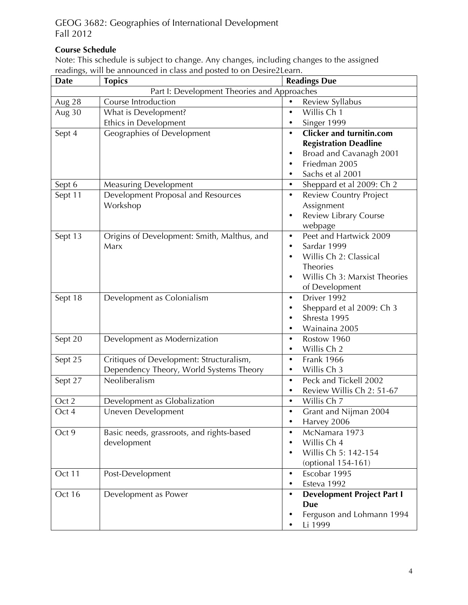# **Course Schedule**

Note: This schedule is subject to change. Any changes, including changes to the assigned readings, will be announced in class and posted to on Desire2Learn.

| <b>Date</b>                                 | <b>Topics</b>                               | <b>Readings Due</b>                            |  |  |
|---------------------------------------------|---------------------------------------------|------------------------------------------------|--|--|
| Part I: Development Theories and Approaches |                                             |                                                |  |  |
| Aug 28                                      | Course Introduction                         | Review Syllabus<br>$\bullet$                   |  |  |
| Aug 30                                      | What is Development?                        | Willis Ch 1<br>$\bullet$                       |  |  |
|                                             | Ethics in Development                       | Singer 1999<br>٠                               |  |  |
| Sept 4                                      | Geographies of Development                  | <b>Clicker and turnitin.com</b><br>$\bullet$   |  |  |
|                                             |                                             | <b>Registration Deadline</b>                   |  |  |
|                                             |                                             | Broad and Cavanagh 2001                        |  |  |
|                                             |                                             | Friedman 2005                                  |  |  |
|                                             |                                             | Sachs et al 2001<br>$\bullet$                  |  |  |
| Sept 6                                      | <b>Measuring Development</b>                | Sheppard et al 2009: Ch 2<br>$\bullet$         |  |  |
| Sept 11                                     | Development Proposal and Resources          | <b>Review Country Project</b><br>$\bullet$     |  |  |
|                                             | Workshop                                    | Assignment                                     |  |  |
|                                             |                                             | Review Library Course<br>$\bullet$             |  |  |
|                                             |                                             | webpage                                        |  |  |
| Sept 13                                     | Origins of Development: Smith, Malthus, and | Peet and Hartwick 2009<br>$\bullet$            |  |  |
|                                             | Marx                                        | Sardar 1999<br>$\bullet$                       |  |  |
|                                             |                                             | Willis Ch 2: Classical                         |  |  |
|                                             |                                             | Theories                                       |  |  |
|                                             |                                             | Willis Ch 3: Marxist Theories                  |  |  |
|                                             |                                             | of Development                                 |  |  |
| Sept 18                                     | Development as Colonialism                  | Driver 1992<br>$\bullet$                       |  |  |
|                                             |                                             | Sheppard et al 2009: Ch 3<br>$\bullet$         |  |  |
|                                             |                                             | Shresta 1995                                   |  |  |
|                                             |                                             | Wainaina 2005                                  |  |  |
| Sept 20                                     | Development as Modernization                | Rostow 1960<br>$\bullet$                       |  |  |
|                                             |                                             | Willis Ch 2<br>$\bullet$                       |  |  |
| Sept 25                                     | Critiques of Development: Structuralism,    | <b>Frank 1966</b><br>$\bullet$                 |  |  |
|                                             | Dependency Theory, World Systems Theory     | Willis Ch 3<br>$\bullet$                       |  |  |
| Sept 27                                     | Neoliberalism                               | Peck and Tickell 2002<br>$\bullet$             |  |  |
|                                             |                                             | Review Willis Ch 2: 51-67<br>$\bullet$         |  |  |
| Oct 2                                       | Development as Globalization                | Willis Ch 7<br>$\bullet$                       |  |  |
| Oct 4                                       | Uneven Development                          | Grant and Nijman 2004<br>$\bullet$             |  |  |
|                                             |                                             | Harvey 2006<br>$\bullet$                       |  |  |
| Oct 9                                       | Basic needs, grassroots, and rights-based   | McNamara 1973<br>$\bullet$                     |  |  |
|                                             | development                                 | Willis Ch 4<br>$\bullet$                       |  |  |
|                                             |                                             | Willis Ch 5: 142-154                           |  |  |
|                                             |                                             | (optional 154-161)<br>$\bullet$                |  |  |
| Oct 11                                      | Post-Development                            | Escobar 1995<br>Esteva 1992                    |  |  |
|                                             |                                             | $\bullet$                                      |  |  |
| Oct 16                                      | Development as Power                        | <b>Development Project Part I</b><br>$\bullet$ |  |  |
|                                             |                                             | <b>Due</b>                                     |  |  |
|                                             |                                             | Ferguson and Lohmann 1994<br>Li 1999           |  |  |
|                                             |                                             |                                                |  |  |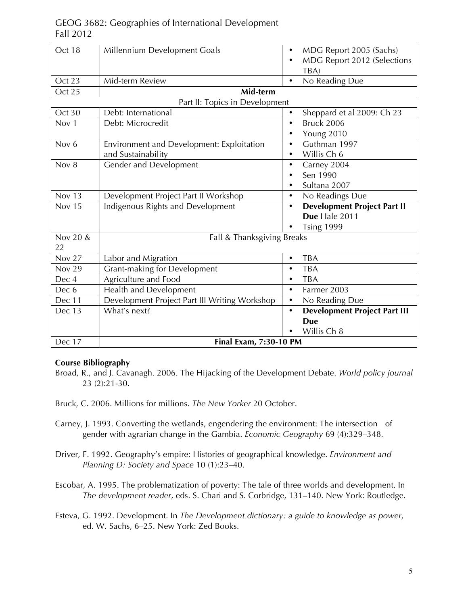| Oct 18                         | Millennium Development Goals                  | $\bullet$ | MDG Report 2005 (Sachs)             |  |  |
|--------------------------------|-----------------------------------------------|-----------|-------------------------------------|--|--|
|                                |                                               | $\bullet$ | MDG Report 2012 (Selections         |  |  |
|                                |                                               |           | TBA)                                |  |  |
| Oct 23                         | Mid-term Review                               | $\bullet$ | No Reading Due                      |  |  |
| Oct 25                         | Mid-term                                      |           |                                     |  |  |
| Part II: Topics in Development |                                               |           |                                     |  |  |
| Oct 30                         | Debt: International                           | $\bullet$ | Sheppard et al 2009: Ch 23          |  |  |
| Nov <sub>1</sub>               | Debt: Microcredit                             | $\bullet$ | <b>Bruck 2006</b>                   |  |  |
|                                |                                               | $\bullet$ | Young 2010                          |  |  |
| Nov <sub>6</sub>               | Environment and Development: Exploitation     | $\bullet$ | Guthman 1997                        |  |  |
|                                | and Sustainability                            |           | Willis Ch 6                         |  |  |
| Nov $8$                        | Gender and Development                        | $\bullet$ | Carney 2004                         |  |  |
|                                |                                               |           | Sen 1990                            |  |  |
|                                |                                               | ٠         | Sultana 2007                        |  |  |
| <b>Nov 13</b>                  | Development Project Part II Workshop          | $\bullet$ | No Readings Due                     |  |  |
| <b>Nov 15</b>                  | Indigenous Rights and Development             | $\bullet$ | <b>Development Project Part II</b>  |  |  |
|                                |                                               |           | Due Hale 2011                       |  |  |
|                                |                                               |           | <b>Tsing 1999</b>                   |  |  |
| Nov 20 &                       | Fall & Thanksgiving Breaks                    |           |                                     |  |  |
| 22                             |                                               |           |                                     |  |  |
| <b>Nov 27</b>                  | Labor and Migration                           | $\bullet$ | <b>TBA</b>                          |  |  |
| <b>Nov 29</b>                  | <b>Grant-making for Development</b>           | $\bullet$ | <b>TBA</b>                          |  |  |
| Dec 4                          | Agriculture and Food                          | $\bullet$ | <b>TBA</b>                          |  |  |
| Dec 6                          | Health and Development                        | $\bullet$ | Farmer 2003                         |  |  |
| Dec 11                         | Development Project Part III Writing Workshop | $\bullet$ | No Reading Due                      |  |  |
| Dec 13                         | What's next?                                  | $\bullet$ | <b>Development Project Part III</b> |  |  |
|                                |                                               |           | <b>Due</b>                          |  |  |
|                                |                                               |           | Willis Ch 8                         |  |  |
| Dec 17                         | Final Exam, 7:30-10 PM                        |           |                                     |  |  |

### **Course Bibliography**

- Broad, R., and J. Cavanagh. 2006. The Hijacking of the Development Debate. *World policy journal* 23 (2):21-30.
- Bruck, C. 2006. Millions for millions. *The New Yorker* 20 October.
- Carney, J. 1993. Converting the wetlands, engendering the environment: The intersection of gender with agrarian change in the Gambia. *Economic Geography* 69 (4):329–348.
- Driver, F. 1992. Geography's empire: Histories of geographical knowledge. *Environment and Planning D: Society and Space* 10 (1):23–40.
- Escobar, A. 1995. The problematization of poverty: The tale of three worlds and development. In *The development reader*, eds. S. Chari and S. Corbridge, 131–140. New York: Routledge.
- Esteva, G. 1992. Development. In *The Development dictionary: a guide to knowledge as power*, ed. W. Sachs, 6–25. New York: Zed Books.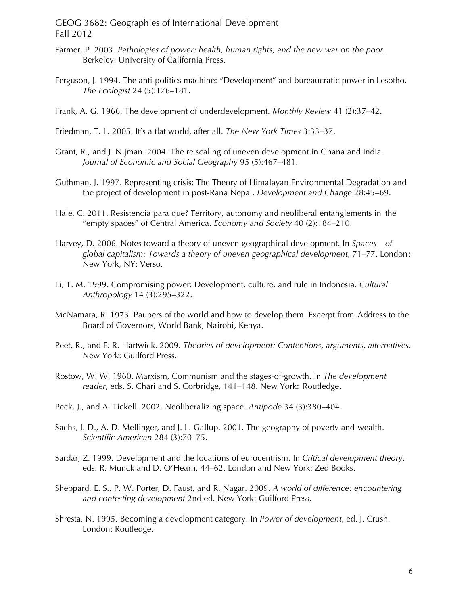- Farmer, P. 2003. *Pathologies of power: health, human rights, and the new war on the poor*. Berkeley: University of California Press.
- Ferguson, J. 1994. The anti-politics machine: "Development" and bureaucratic power in Lesotho. *The Ecologist* 24 (5):176–181.
- Frank, A. G. 1966. The development of underdevelopment. *Monthly Review* 41 (2):37–42.
- Friedman, T. L. 2005. It's a flat world, after all. *The New York Times* 3:33–37.
- Grant, R., and J. Nijman. 2004. The re scaling of uneven development in Ghana and India. *Journal of Economic and Social Geography* 95 (5):467–481.
- Guthman, J. 1997. Representing crisis: The Theory of Himalayan Environmental Degradation and the project of development in post-Rana Nepal. *Development and Change* 28:45–69.
- Hale, C. 2011. Resistencia para que? Territory, autonomy and neoliberal entanglements in the "empty spaces" of Central America. *Economy and Society* 40 (2):184–210.
- Harvey, D. 2006. Notes toward a theory of uneven geographical development. In *Spaces of global capitalism: Towards a theory of uneven geographical development*, 71–77. London ; New York, NY: Verso.
- Li, T. M. 1999. Compromising power: Development, culture, and rule in Indonesia. *Cultural Anthropology* 14 (3):295–322.
- McNamara, R. 1973. Paupers of the world and how to develop them. Excerpt from Address to the Board of Governors, World Bank, Nairobi, Kenya.
- Peet, R., and E. R. Hartwick. 2009. *Theories of development: Contentions, arguments, alternatives*. New York: Guilford Press.
- Rostow, W. W. 1960. Marxism, Communism and the stages-of-growth. In *The development reader*, eds. S. Chari and S. Corbridge, 141–148. New York: Routledge.
- Peck, J., and A. Tickell. 2002. Neoliberalizing space. *Antipode* 34 (3):380–404.
- Sachs, J. D., A. D. Mellinger, and J. L. Gallup. 2001. The geography of poverty and wealth. *Scientific American* 284 (3):70–75.
- Sardar, Z. 1999. Development and the locations of eurocentrism. In *Critical development theory*, eds. R. Munck and D. O'Hearn, 44–62. London and New York: Zed Books.
- Sheppard, E. S., P. W. Porter, D. Faust, and R. Nagar. 2009. *A world of difference: encountering and contesting development* 2nd ed. New York: Guilford Press.
- Shresta, N. 1995. Becoming a development category. In *Power of development*, ed. J. Crush. London: Routledge.